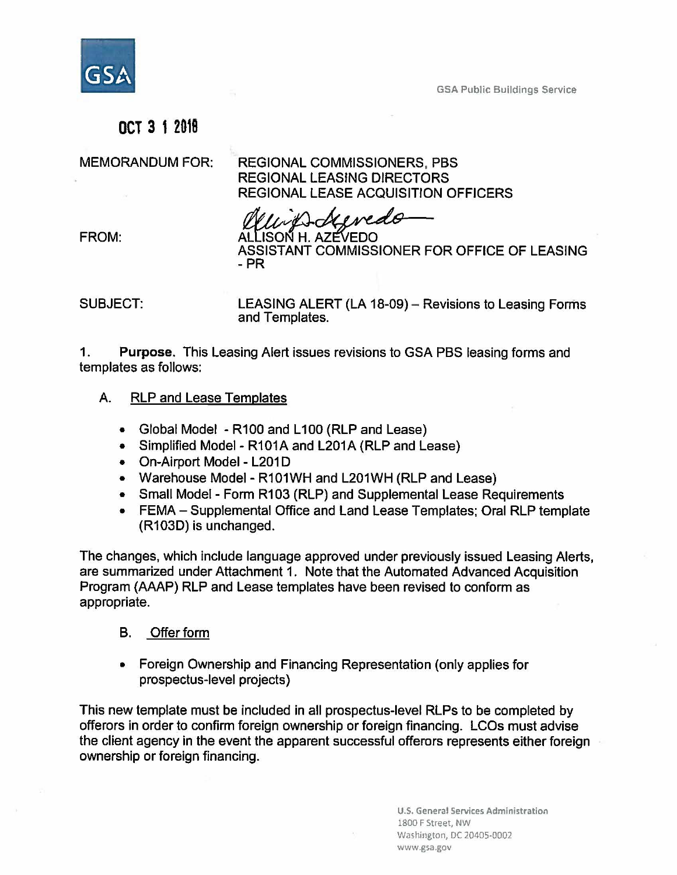

GSA Public Buildings Service

# **OCT 3** 1**<sup>2018</sup>**

MEMORANDUM FOR: REGIONAL COMMISSIONERS, PBS REGIONAL LEASING DIRECTORS REGIONAL LEASE ACQUISITION OFFICERS

REGIONAL LEASE ACQUISITION O<br> **ALLISON H. AZEVEDO**<br>
ALLISON H. AZEVEDO<br>
ASSISTANT COMMISSIONER FOR ASSISTANT COMMISSIONER FOR OFFICE OF LEASING -PR

SUBJECT: LEASING ALERT (LA 18-09) - Revisions to Leasing Forms and Templates.

1. **Purpose.** This Leasing Alert issues revisions to GSA PBS leasing forms and templates as follows:

- A. RLP and Lease Templates
	- Global Model R100 and L100 (RLP and Lease)
	- Simplified Model R101A and L201A (RLP and Lease)
	- On-Airport Model L201D
	- Warehouse Model R101WH and L201WH (RLP and Lease)
	- Small Model Form R103 (RLP) and Supplemental Lease Requirements
	- FEMA Supplemental Office and Land Lease Templates; Oral RLP template (R103D) is unchanged.

The changes, which include language approved under previously issued Leasing Alerts, are summarized under Attachment 1. Note that the Automated Advanced Acquisition Program (AAAP) RLP and Lease templates have been revised to conform as appropriate.

#### B. Offer form

• Foreign Ownership and Financing Representation (only applies for prospectus-level projects)

This new template must be included in all prospectus-level RLPs to be completed by offerers in order to confirm foreign ownership or foreign financing. LCOs must advise the client agency in the event the apparent successful offerers represents either foreign ownership or foreign financing.

> **U.S. General Services Administration**  1800 F Street, NW Washington, DC 20405-0002 www.gsa.gov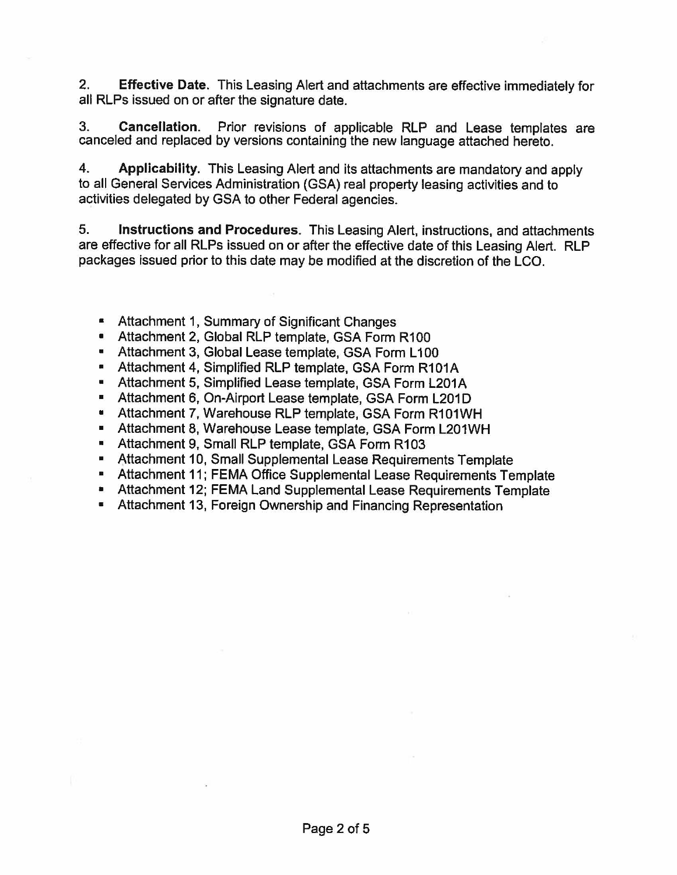2. **Effective Date.** This Leasing Alert and attachments are effective immediately for all RLPs issued on or after the signature date.

3. **Cancellation.** Prior revisions of applicable RLP and Lease templates are canceled and replaced by versions containing the new language attached hereto.

4. **Applicability.** This Leasing Alert and its attachments are mandatory and apply to all General Services Administration (GSA) real property leasing activities and to activities delegated by GSA to other Federal agencies.

5. **Instructions and Procedures.** This Leasing Alert, instructions, and attachments are effective for all RLPs issued on or after the effective date of this Leasing Alert. RLP packages issued prior to this date may be modified at the discretion of the LCO.

- Attachment 1, Summary of Significant Changes
- Attachment 2, Global RLP template, GSA Form R100
- Attachment 3, Global Lease template, GSA Form L100
- Attachment 4, Simplified RLP template, GSA Form R101A
- Attachment 5, Simplified Lease template, GSA Form L201A
- Attachment 6, On-Airport Lease template, GSA Form L201D
- Attachment 7, Warehouse RLP template, GSA Form R101WH
- Attachment 8, Warehouse Lease template, GSA Form L201WH
- Attachment 9, Small RLP template, GSA Form R103
- Attachment 10, Small Supplemental Lease Requirements Template
- Attachment 11; FEMA Office Supplemental Lease Requirements Template
- Attachment 12; FEMA Land Supplemental Lease Requirements Template
- Attachment 13, Foreign Ownership and Financing Representation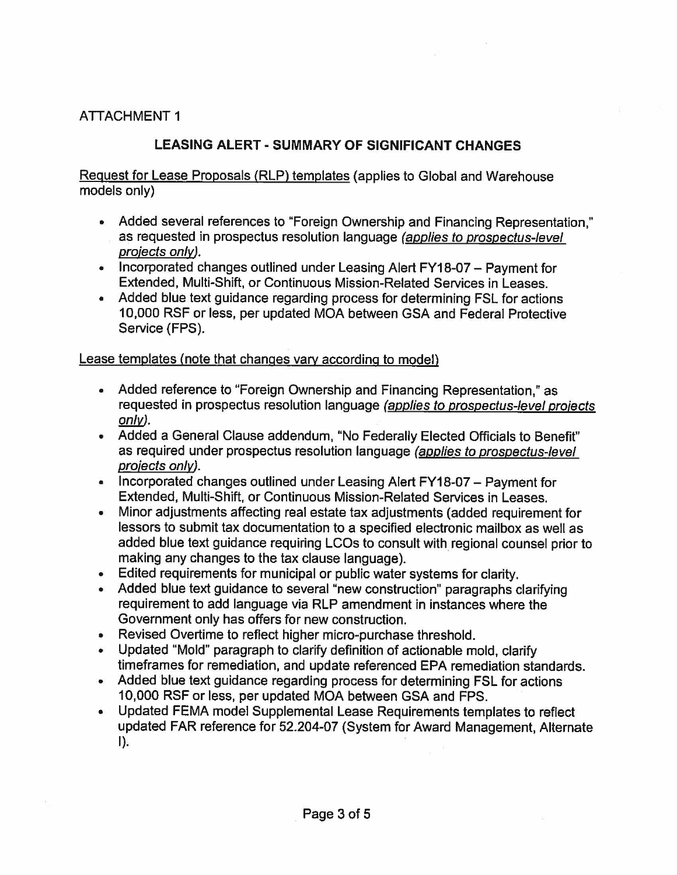### ATTACHMENT 1

## **LEASING ALERT** - **SUMMARY OF SIGNIFICANT CHANGES**

Request for Lease Proposals (RLP) templates (applies to Global and Warehouse models only)

- Added several references to "Foreign Ownership and Financing Representation," as requested in prospectus resolution language (applies to prospectus-level proiects only).
- Incorporated changes outlined under Leasing Alert FY18-07 Payment for Extended, Multi-Shift, or Continuous Mission-Related Services in Leases.
- Added blue text guidance regarding process for determining FSL for actions 10,000 RSF or less, per updated MOA between GSA and Federal Protective Service {FPS).

#### Lease templates (note that changes vary according to model)

- Added reference to "Foreign Ownership and Financing Representation," as requested in prospectus resolution language (applies to prospectus-level projects only).
- Added a General Clause addendum, "No Federally Elected Officials to Benefit" as required under prospectus resolution language (applies to prospectus-level proiects only).
- Incorporated changes outlined under Leasing Alert FY18-07 Payment for Extended, Multi-Shift, or Continuous Mission-Related Services in Leases.
- Minor adjustments affecting real estate tax adjustments (added requirement for lessors to submit tax documentation to a specified electronic mailbox as well as added blue text guidance requiring LCOs to consult with regional counsel prior to making any changes to the tax clause language).
- Edited requirements for municipal or public water systems for clarity.
- Added blue text guidance to several "new construction" paragraphs clarifying requirement to add language via RLP amendment in instances where the Government only has offers for new construction.
- Revised Overtime to reflect higher micro-purchase threshold.
- Updated "Mold" paragraph to clarify definition of actionable mold, clarify timeframes for remediation, and update referenced EPA remediation standards.
- Added blue text guidance regarding process for determining FSL for actions 10,000 RSF or less, per updated MOA between GSA and FPS.
- Updated FEMA model Supplemental Lease Requirements templates to reflect updated FAR reference for 52.204-07 (System for Award Management, Alternate  $\blacksquare$ ).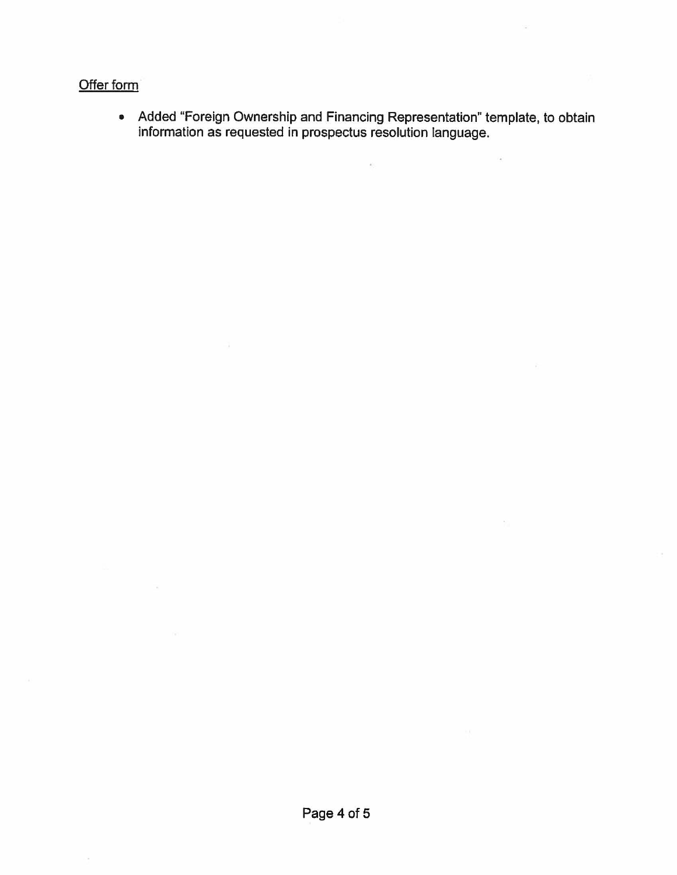### Offer form

 $\sim 10^4$ 

• Added "Foreign Ownership and Financing Representation" template, to obtain information as requested in prospectus resolution language.

 $\mathbf{a}(\cdot)$ 

 $\mathcal{L}^{\mathcal{L}}$  and  $\mathcal{L}^{\mathcal{L}}$ 

 $\mathcal{L}_{\mathcal{C}}$